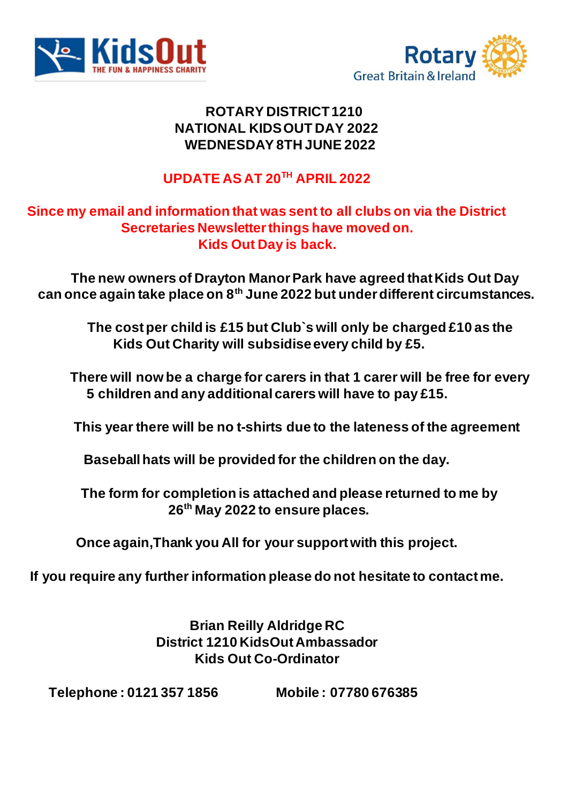



#### **ROTARY DISTRICT 1210 NATIONAL KIDS OUT DAY 2022 WEDNESDAY 8TH JUNE 2022**

# **UPDATE AS AT 20TH APRIL 2022**

#### **Since my email and information that was sent to all clubs on via the District Secretaries Newsletter things have moved on. Kids Out Day is back.**

 **The new owners of Drayton Manor Park have agreed that Kids Out Day can once again take place on 8th June 2022 but under different circumstances.**

> **The cost per child is £15 but Club`s will only be charged £10 as the Kids Out Charity will subsidise every child by £5.**

 **There will now be a charge for carers in that 1 carer will be free for every 5 children and any additional carers will have to pay £15.**

 **This year there will be no t-shirts due to the lateness of the agreement**

**Baseball hats will be provided for the children on the day.**

 **The form for completion is attached and please returned to me by 26th May 2022 to ensure places.**

**Once again,Thank you All for your support with this project.**

**If you require any further information please do not hesitate to contact me.**

**Brian Reilly Aldridge RC District 1210 KidsOut Ambassador Kids Out Co-Ordinator**

 **Telephone : 0121 357 1856 Mobile : 07780 676385**